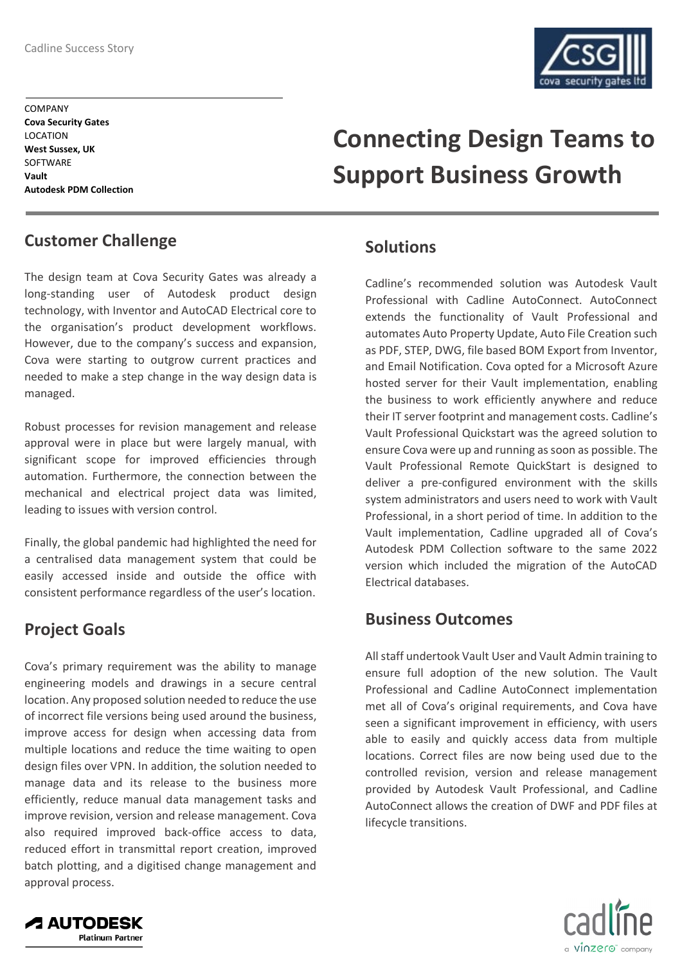

**COMPANY Cova Security Gates** LOCATION **West Sussex, UK** SOFTWARE **Vault Autodesk PDM Collection**

## **Customer Challenge**

The design team at Cova Security Gates was already a long-standing user of Autodesk product design technology, with Inventor and AutoCAD Electrical core to the organisation's product development workflows. However, due to the company's success and expansion, Cova were starting to outgrow current practices and needed to make a step change in the way design data is managed.

Robust processes for revision management and release approval were in place but were largely manual, with significant scope for improved efficiencies through automation. Furthermore, the connection between the mechanical and electrical project data was limited, leading to issues with version control.

Finally, the global pandemic had highlighted the need for a centralised data management system that could be easily accessed inside and outside the office with consistent performance regardless of the user's location.

## **Project Goals**

**A AUTODESK** 

**Platinum Partner** 

Cova's primary requirement was the ability to manage engineering models and drawings in a secure central location. Any proposed solution needed to reduce the use of incorrect file versions being used around the business, improve access for design when accessing data from multiple locations and reduce the time waiting to open design files over VPN. In addition, the solution needed to manage data and its release to the business more efficiently, reduce manual data management tasks and improve revision, version and release management. Cova also required improved back-office access to data, reduced effort in transmittal report creation, improved batch plotting, and a digitised change management and approval process.

# **Connecting Design Teams to Support Business Growth**

## **Solutions**

Cadline's recommended solution was Autodesk Vault Professional with Cadline AutoConnect. AutoConnect extends the functionality of Vault Professional and automates Auto Property Update, Auto File Creation such as PDF, STEP, DWG, file based BOM Export from Inventor, and Email Notification. Cova opted for a Microsoft Azure hosted server for their Vault implementation, enabling the business to work efficiently anywhere and reduce their IT server footprint and management costs. Cadline's Vault Professional Quickstart was the agreed solution to ensure Cova were up and running as soon as possible. The Vault Professional Remote QuickStart is designed to deliver a pre-configured environment with the skills system administrators and users need to work with Vault Professional, in a short period of time. In addition to the Vault implementation, Cadline upgraded all of Cova's Autodesk PDM Collection software to the same 2022 version which included the migration of the AutoCAD Electrical databases.

## **Business Outcomes**

All staff undertook Vault User and Vault Admin training to ensure full adoption of the new solution. The Vault Professional and Cadline AutoConnect implementation met all of Cova's original requirements, and Cova have seen a significant improvement in efficiency, with users able to easily and quickly access data from multiple locations. Correct files are now being used due to the controlled revision, version and release management provided by Autodesk Vault Professional, and Cadline AutoConnect allows the creation of DWF and PDF files at lifecycle transitions.